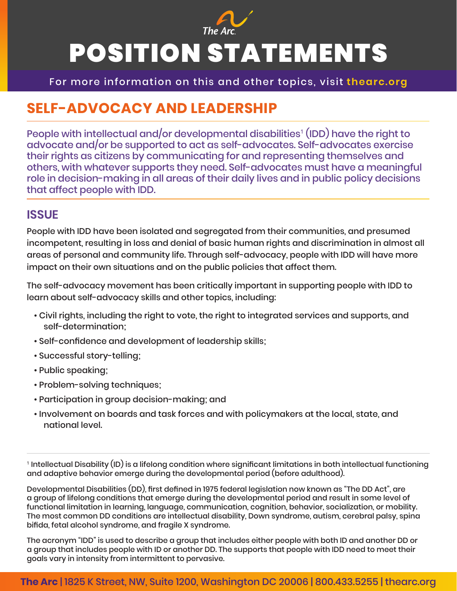

# POSITION STATEMENTS

For more information on this and other topics, visit **thearc.org**

## **SELF-ADVOCACY AND LEADERSHIP**

People with intellectual and/or developmental disabilities<sup>1</sup> (IDD) have the right to advocate and/or be supported to act as self-advocates. Self-advocates exercise their rights as citizens by communicating for and representing themselves and others, with whatever supports they need. Self-advocates must have a meaningful role in decision-making in all areas of their daily lives and in public policy decisions that affect people with IDD.

#### **ISSUE**

People with IDD have been isolated and segregated from their communities, and presumed incompetent, resulting in loss and denial of basic human rights and discrimination in almost all areas of personal and community life. Through self-advocacy, people with IDD will have more impact on their own situations and on the public policies that affect them.

The self-advocacy movement has been critically important in supporting people with IDD to learn about self-advocacy skills and other topics, including:

- Civil rights, including the right to vote, the right to integrated services and supports, and self-determination;
- Self-confidence and development of leadership skills;
- Successful story-telling;
- Public speaking;
- Problem-solving techniques;
- Participation in group decision-making; and
- Involvement on boards and task forces and with policymakers at the local, state, and national level.

1 Intellectual Disability (ID) is a lifelong condition where significant limitations in both intellectual functioning and adaptive behavior emerge during the developmental period (before adulthood).

Developmental Disabilities (DD), first defined in 1975 federal legislation now known as "The DD Act", are a group of lifelong conditions that emerge during the developmental period and result in some level of functional limitation in learning, language, communication, cognition, behavior, socialization, or mobility. The most common DD conditions are intellectual disability, Down syndrome, autism, cerebral palsy, spina bifida, fetal alcohol syndrome, and fragile X syndrome.

The acronym "IDD" is used to describe a group that includes either people with both ID and another DD or a group that includes people with ID or another DD. The supports that people with IDD need to meet their goals vary in intensity from intermittent to pervasive.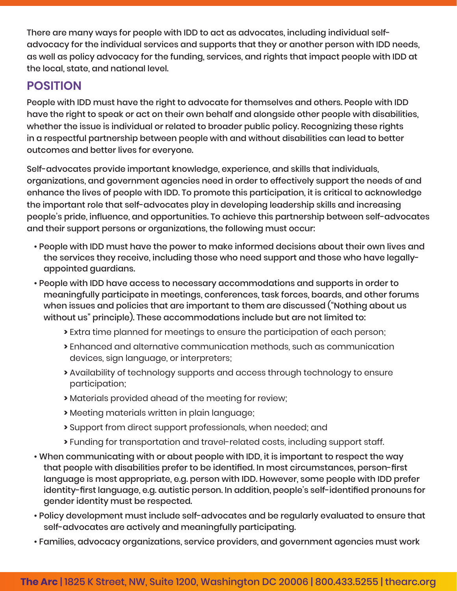There are many ways for people with IDD to act as advocates, including individual selfadvocacy for the individual services and supports that they or another person with IDD needs, as well as policy advocacy for the funding, services, and rights that impact people with IDD at the local, state, and national level.

### **POSITION**

People with IDD must have the right to advocate for themselves and others. People with IDD have the right to speak or act on their own behalf and alongside other people with disabilities, whether the issue is individual or related to broader public policy. Recognizing these rights in a respectful partnership between people with and without disabilities can lead to better outcomes and better lives for everyone.

Self-advocates provide important knowledge, experience, and skills that individuals, organizations, and government agencies need in order to effectively support the needs of and enhance the lives of people with IDD. To promote this participation, it is critical to acknowledge the important role that self-advocates play in developing leadership skills and increasing people's pride, influence, and opportunities. To achieve this partnership between self-advocates and their support persons or organizations, the following must occur:

- People with IDD must have the power to make informed decisions about their own lives and the services they receive, including those who need support and those who have legallyappointed guardians.
- People with IDD have access to necessary accommodations and supports in order to meaningfully participate in meetings, conferences, task forces, boards, and other forums when issues and policies that are important to them are discussed ("Nothing about us without us" principle). These accommodations include but are not limited to:
	- **>** Extra time planned for meetings to ensure the participation of each person;
	- **>** Enhanced and alternative communication methods, such as communication devices, sign language, or interpreters;
	- **>** Availability of technology supports and access through technology to ensure participation;
	- **>** Materials provided ahead of the meeting for review;
	- **>** Meeting materials written in plain language;
	- **>** Support from direct support professionals, when needed; and
	- **>** Funding for transportation and travel-related costs, including support staff.
- When communicating with or about people with IDD, it is important to respect the way that people with disabilities prefer to be identified. In most circumstances, person-first language is most appropriate, e.g. person with IDD. However, some people with IDD prefer identity-first language, e.g. autistic person. In addition, people's self-identified pronouns for gender identity must be respected.
- Policy development must include self-advocates and be regularly evaluated to ensure that self-advocates are actively and meaningfully participating.
- Families, advocacy organizations, service providers, and government agencies must work